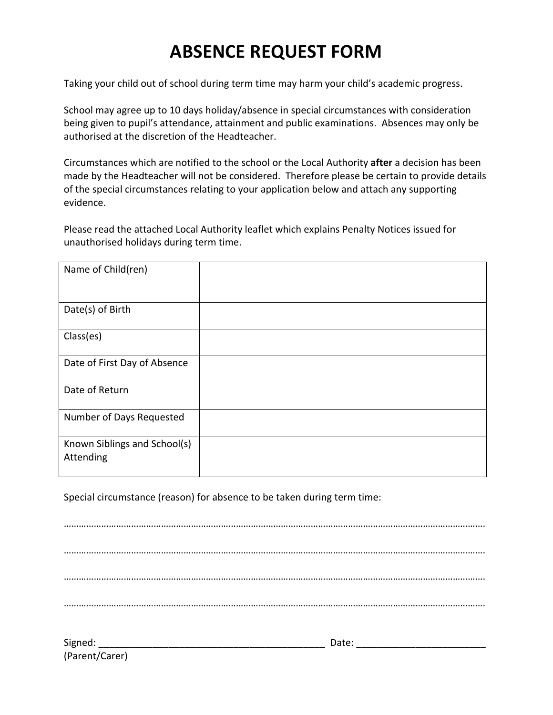## **ABSENCE REQUEST FORM**

Taking your child out of school during term time may harm your child's academic progress.

School may agree up to 10 days holiday/absence in special circumstances with consideration being given to pupil's attendance, attainment and public examinations. Absences may only be authorised at the discretion of the Headteacher.

Circumstances which are notified to the school or the Local Authority after a decision has been made by the Headteacher will not be considered. Therefore please be certain to provide details of the special circumstances relating to your application below and attach any supporting evidence.

Please read the attached Local Authority leaflet which explains Penalty Notices issued for unauthorised holidays during term time.

| Name of Child(ren)                        |  |
|-------------------------------------------|--|
| Date(s) of Birth                          |  |
| Class(es)                                 |  |
| Date of First Day of Absence              |  |
| Date of Return                            |  |
| Number of Days Requested                  |  |
| Known Siblings and School(s)<br>Attending |  |

Special circumstance (reason) for absence to be taken during term time:

……………………………………………………………………………………………………………………………………………………. ……………………………………………………………………………………………………………………………………………………. ……………………………………………………………………………………………………………………………………………………. …………………………………………………………………………………………………………………………………………………….

Signed: \_\_\_\_\_\_\_\_\_\_\_\_\_\_\_\_\_\_\_\_\_\_\_\_\_\_\_\_\_\_\_\_\_\_\_\_\_\_\_\_\_\_ Date: \_\_\_\_\_\_\_\_\_\_\_\_\_\_\_\_\_\_\_\_\_\_\_\_ (Parent/Carer)